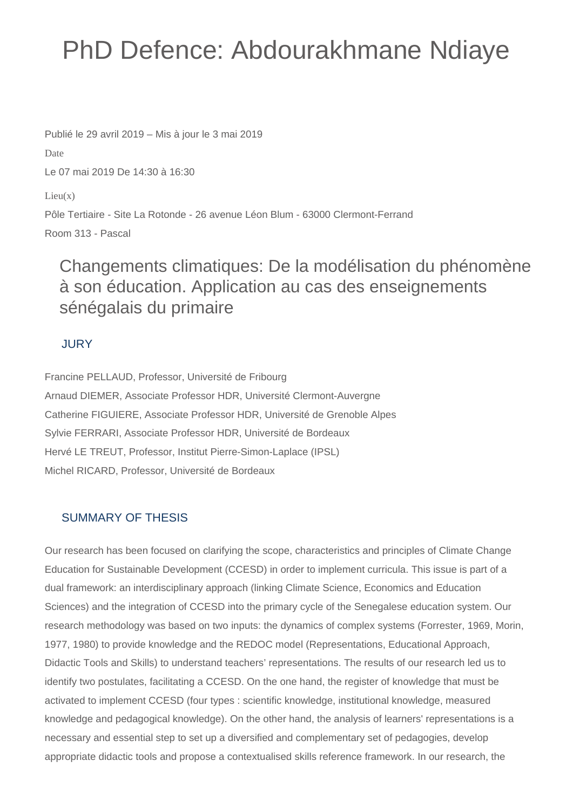# PhD Defence: Abdourakhmane Ndiaye

Publié le 29 avril 2019 – Mis à jour le 3 mai 2019

Date

Le 07 mai 2019 De 14:30 à 16:30

 $Lieu(x)$ 

Pôle Tertiaire - Site La Rotonde - 26 avenue Léon Blum - 63000 Clermont-Ferrand Room 313 - Pascal

## Changements climatiques: De la modélisation du phénomène à son éducation. Application au cas des enseignements sénégalais du primaire

### JURY

Francine PELLAUD, Professor, Université de Fribourg Arnaud DIEMER, Associate Professor HDR, Université Clermont-Auvergne Catherine FIGUIERE, Associate Professor HDR, Université de Grenoble Alpes Sylvie FERRARI, Associate Professor HDR, Université de Bordeaux Hervé LE TREUT, Professor, Institut Pierre-Simon-Laplace (IPSL) Michel RICARD, Professor, Université de Bordeaux

### SUMMARY OF THESIS

Our research has been focused on clarifying the scope, characteristics and principles of Climate Change Education for Sustainable Development (CCESD) in order to implement curricula. This issue is part of a dual framework: an interdisciplinary approach (linking Climate Science, Economics and Education Sciences) and the integration of CCESD into the primary cycle of the Senegalese education system. Our research methodology was based on two inputs: the dynamics of complex systems (Forrester, 1969, Morin, 1977, 1980) to provide knowledge and the REDOC model (Representations, Educational Approach, Didactic Tools and Skills) to understand teachers' representations. The results of our research led us to identify two postulates, facilitating a CCESD. On the one hand, the register of knowledge that must be activated to implement CCESD (four types : scientific knowledge, institutional knowledge, measured knowledge and pedagogical knowledge). On the other hand, the analysis of learners' representations is a necessary and essential step to set up a diversified and complementary set of pedagogies, develop appropriate didactic tools and propose a contextualised skills reference framework. In our research, the